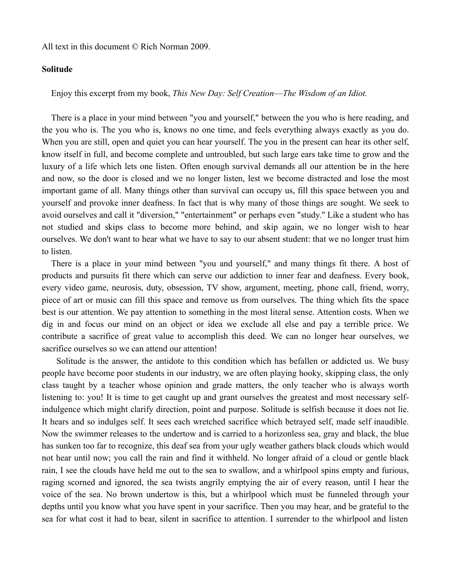All text in this document © Rich Norman 2009.

## **Solitude**

Enjoy this excerpt from my book, *This New Day: Self Creation––The Wisdom of an Idiot.*

There is a place in your mind between "you and yourself," between the you who is here reading, and the you who is. The you who is, knows no one time, and feels everything always exactly as you do. When you are still, open and quiet you can hear yourself. The you in the present can hear its other self, know itself in full, and become complete and untroubled, but such large ears take time to grow and the luxury of a life which lets one listen. Often enough survival demands all our attention be in the here and now, so the door is closed and we no longer listen, lest we become distracted and lose the most important game of all. Many things other than survival can occupy us, fill this space between you and yourself and provoke inner deafness. In fact that is why many of those things are sought. We seek to avoid ourselves and call it "diversion," "entertainment" or perhaps even "study." Like a student who has not studied and skips class to become more behind, and skip again, we no longer wish to hear ourselves. We don't want to hear what we have to say to our absent student: that we no longer trust him to listen.

There is a place in your mind between "you and yourself," and many things fit there. A host of products and pursuits fit there which can serve our addiction to inner fear and deafness. Every book, every video game, neurosis, duty, obsession, TV show, argument, meeting, phone call, friend, worry, piece of art or music can fill this space and remove us from ourselves. The thing which fits the space best is our attention. We pay attention to something in the most literal sense. Attention costs. When we dig in and focus our mind on an object or idea we exclude all else and pay a terrible price. We contribute a sacrifice of great value to accomplish this deed. We can no longer hear ourselves, we sacrifice ourselves so we can attend our attention!

Solitude is the answer, the antidote to this condition which has befallen or addicted us. We busy people have become poor students in our industry, we are often playing hooky, skipping class, the only class taught by a teacher whose opinion and grade matters, the only teacher who is always worth listening to: you! It is time to get caught up and grant ourselves the greatest and most necessary selfindulgence which might clarify direction, point and purpose. Solitude is selfish because it does not lie. It hears and so indulges self. It sees each wretched sacrifice which betrayed self, made self inaudible. Now the swimmer releases to the undertow and is carried to a horizonless sea, gray and black, the blue has sunken too far to recognize, this deaf sea from your ugly weather gathers black clouds which would not hear until now; you call the rain and find it withheld. No longer afraid of a cloud or gentle black rain, I see the clouds have held me out to the sea to swallow, and a whirlpool spins empty and furious, raging scorned and ignored, the sea twists angrily emptying the air of every reason, until I hear the voice of the sea. No brown undertow is this, but a whirlpool which must be funneled through your depths until you know what you have spent in your sacrifice. Then you may hear, and be grateful to the sea for what cost it had to bear, silent in sacrifice to attention. I surrender to the whirlpool and listen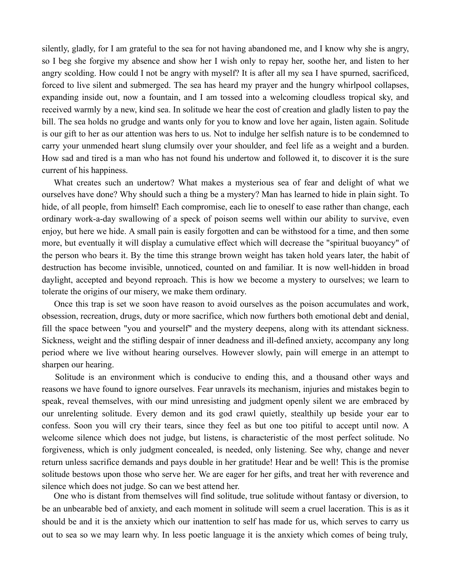silently, gladly, for I am grateful to the sea for not having abandoned me, and I know why she is angry, so I beg she forgive my absence and show her I wish only to repay her, soothe her, and listen to her angry scolding. How could I not be angry with myself? It is after all my sea I have spurned, sacrificed, forced to live silent and submerged. The sea has heard my prayer and the hungry whirlpool collapses, expanding inside out, now a fountain, and I am tossed into a welcoming cloudless tropical sky, and received warmly by a new, kind sea. In solitude we hear the cost of creation and gladly listen to pay the bill. The sea holds no grudge and wants only for you to know and love her again, listen again. Solitude is our gift to her as our attention was hers to us. Not to indulge her selfish nature is to be condemned to carry your unmended heart slung clumsily over your shoulder, and feel life as a weight and a burden. How sad and tired is a man who has not found his undertow and followed it, to discover it is the sure current of his happiness.

What creates such an undertow? What makes a mysterious sea of fear and delight of what we ourselves have done? Why should such a thing be a mystery? Man has learned to hide in plain sight. To hide, of all people, from himself! Each compromise, each lie to oneself to ease rather than change, each ordinary work-a-day swallowing of a speck of poison seems well within our ability to survive, even enjoy, but here we hide. A small pain is easily forgotten and can be withstood for a time, and then some more, but eventually it will display a cumulative effect which will decrease the "spiritual buoyancy" of the person who bears it. By the time this strange brown weight has taken hold years later, the habit of destruction has become invisible, unnoticed, counted on and familiar. It is now well-hidden in broad daylight, accepted and beyond reproach. This is how we become a mystery to ourselves; we learn to tolerate the origins of our misery, we make them ordinary.

Once this trap is set we soon have reason to avoid ourselves as the poison accumulates and work, obsession, recreation, drugs, duty or more sacrifice, which now furthers both emotional debt and denial, fill the space between "you and yourself" and the mystery deepens, along with its attendant sickness. Sickness, weight and the stifling despair of inner deadness and ill-defined anxiety, accompany any long period where we live without hearing ourselves. However slowly, pain will emerge in an attempt to sharpen our hearing.

Solitude is an environment which is conducive to ending this, and a thousand other ways and reasons we have found to ignore ourselves. Fear unravels its mechanism, injuries and mistakes begin to speak, reveal themselves, with our mind unresisting and judgment openly silent we are embraced by our unrelenting solitude. Every demon and its god crawl quietly, stealthily up beside your ear to confess. Soon you will cry their tears, since they feel as but one too pitiful to accept until now. A welcome silence which does not judge, but listens, is characteristic of the most perfect solitude. No forgiveness, which is only judgment concealed, is needed, only listening. See why, change and never return unless sacrifice demands and pays double in her gratitude! Hear and be well! This is the promise solitude bestows upon those who serve her. We are eager for her gifts, and treat her with reverence and silence which does not judge. So can we best attend her.

One who is distant from themselves will find solitude, true solitude without fantasy or diversion, to be an unbearable bed of anxiety, and each moment in solitude will seem a cruel laceration. This is as it should be and it is the anxiety which our inattention to self has made for us, which serves to carry us out to sea so we may learn why. In less poetic language it is the anxiety which comes of being truly,